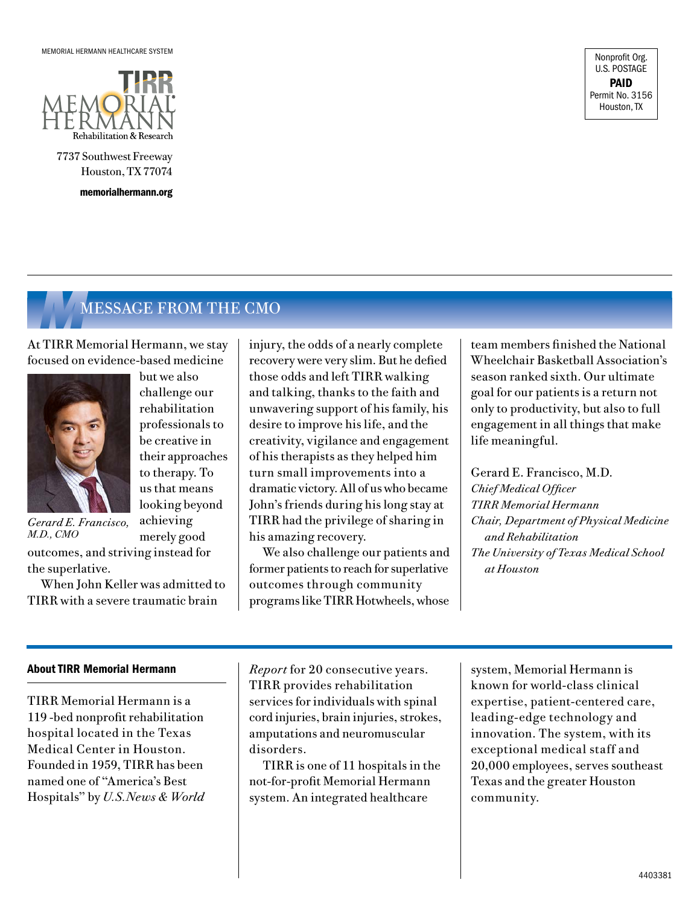

7737 Southwest Freeway Houston, TX 77074

memorialhermann.org

Nonprofit Org. U.S. POSTAGE PAID Permit No. 3156 Houston, TX

# *M*MESSAGE FROM THE CMO

but we also challenge our rehabilitation professionals to be creative in their approaches to therapy. To us that means looking beyond achieving merely good

At TIRR Memorial Hermann, we stay focused on evidence-based medicine



*Gerard E. Francisco, M.D., CMO*

outcomes, and striving instead for the superlative.

When John Keller was admitted to TIRR with a severe traumatic brain

injury, the odds of a nearly complete recovery were very slim. But he defied those odds and left TIRR walking and talking, thanks to the faith and unwavering support of his family, his desire to improve his life, and the creativity, vigilance and engagement of his therapists as they helped him turn small improvements into a dramatic victory. All of us who became John's friends during his long stay at TIRR had the privilege of sharing in his amazing recovery.

We also challenge our patients and former patients to reach for superlative outcomes through community programs like TIRR Hotwheels, whose team members finished the National Wheelchair Basketball Association's season ranked sixth. Our ultimate goal for our patients is a return not only to productivity, but also to full engagement in all things that make life meaningful.

Gerard E. Francisco, M.D. *Chief Medical Officer TIRR Memorial Hermann Chair, Department of Physical Medicine and Rehabilitation The University of Texas Medical School at Houston*

#### About TIRR Memorial Hermann

TIRR Memorial Hermann is a 119 -bed nonprofit rehabilitation hospital located in the Texas Medical Center in Houston. Founded in 1959, TIRR has been named one of "America's Best Hospitals" by *U.S.News & World*  *Report* for 20 consecutive years. TIRR provides rehabilitation services for individuals with spinal cord injuries, brain injuries, strokes, amputations and neuromuscular disorders.

TIRR is one of 11 hospitals in the not-for-profit Memorial Hermann system. An integrated healthcare

system, Memorial Hermann is known for world-class clinical expertise, patient-centered care, leading-edge technology and innovation. The system, with its exceptional medical staff and 20,000 employees, serves southeast Texas and the greater Houston community.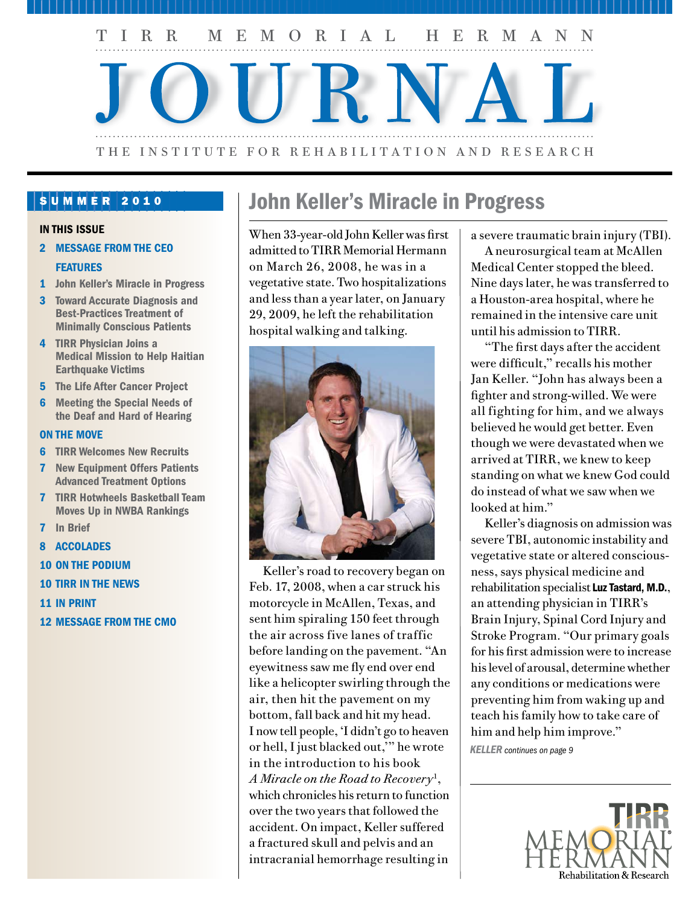

#### SUMMER 2010

#### IN THIS ISSUE

- 2 MESSAGE FROM THE CEO **FEATURES**
- 1 John Keller's Miracle in Progress
- 3 Toward Accurate Diagnosis and Best-Practices Treatment of Minimally Conscious Patients
- 4 TIRR Physician Joins a Medical Mission to Help Haitian Earthquake Victims
- 5 The Life After Cancer Project
- 6 Meeting the Special Needs of the Deaf and Hard of Hearing

#### ON THE MOVE

- 6 TIRR Welcomes New Recruits
- 7 New Equipment Offers Patients Advanced Treatment Options
- 7 TIRR Hotwheels Basketball Team Moves Up in NWBA Rankings
- 7 In Brief
- 8 ACCOLADES
- 10 ON THE PODIUM
- 10 TIRR IN THE NEWS
- 11 IN PRINT
- 12 MESSAGE FROM THE CMO

# John Keller's Miracle in Progress

When 33-year-old John Keller was first admitted to TIRR Memorial Hermann on March 26, 2008, he was in a vegetative state. Two hospitalizations and less than a year later, on January 29, 2009, he left the rehabilitation hospital walking and talking.



Keller's road to recovery began on Feb. 17, 2008, when a car struck his motorcycle in McAllen, Texas, and sent him spiraling 150 feet through the air across five lanes of traffic before landing on the pavement. "An eyewitness saw me fly end over end like a helicopter swirling through the air, then hit the pavement on my bottom, fall back and hit my head. I now tell people, 'I didn't go to heaven or hell, I just blacked out,'" he wrote in the introduction to his book *A Miracle on the Road to Recovery*<sup>1</sup> , which chronicles his return to function over the two years that followed the accident. On impact, Keller suffered a fractured skull and pelvis and an intracranial hemorrhage resulting in

a severe traumatic brain injury (TBI).

A neurosurgical team at McAllen Medical Center stopped the bleed. Nine days later, he was transferred to a Houston-area hospital, where he remained in the intensive care unit until his admission to TIRR.

"The first days after the accident were difficult," recalls his mother Jan Keller. "John has always been a fighter and strong-willed. We were all fighting for him, and we always believed he would get better. Even though we were devastated when we arrived at TIRR, we knew to keep standing on what we knew God could do instead of what we saw when we looked at him."

Keller's diagnosis on admission was severe TBI, autonomic instability and vegetative state or altered consciousness, says physical medicine and rehabilitation specialist Luz Tastard, M.D., an attending physician in TIRR's Brain Injury, Spinal Cord Injury and Stroke Program. "Our primary goals for his first admission were to increase his level of arousal, determine whether any conditions or medications were preventing him from waking up and teach his family how to take care of him and help him improve."

*KELLER continues on page 9*

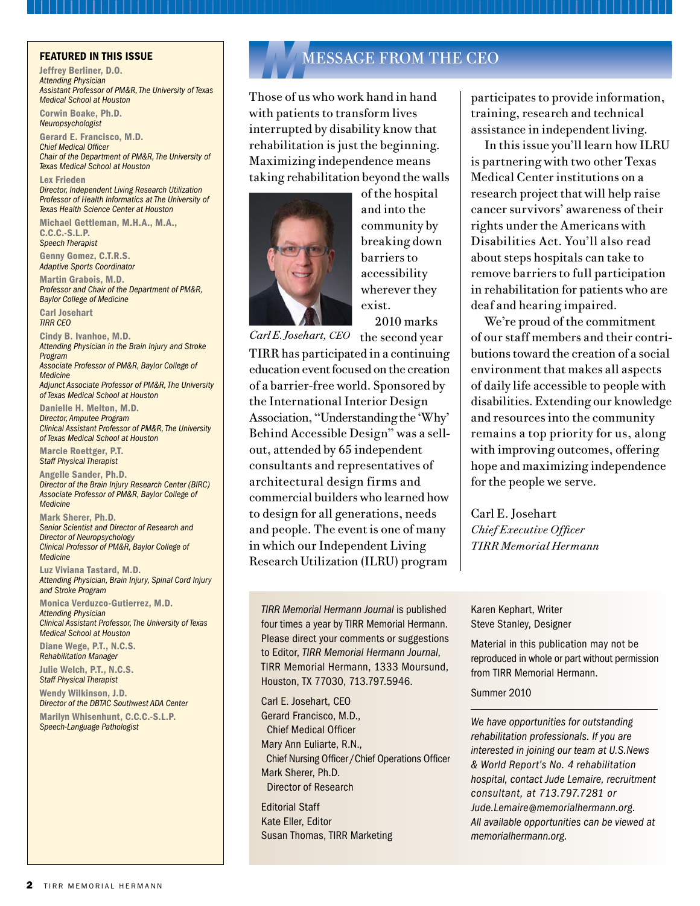Jeffrey Berliner, D.O. *Attending Physician Assistant Professor of PM&R, The University of Texas Medical School at Houston*

Corwin Boake, Ph.D. *Neuropsychologist* 

Gerard E. Francisco, M.D. *Chief Medical Officer Chair of the Department of PM&R, The University of Texas Medical School at Houston*

Lex Frieden *Director, Independent Living Research Utilization Professor of Health Informatics at The University of Texas Health Science Center at Houston*

Michael Gettleman, M.H.A., M.A., C.C.C.-S.L.P. *Speech Therapist*

Genny Gomez, C.T.R.S. *Adaptive Sports Coordinator*

Martin Grabois, M.D. *Professor and Chair of the Department of PM&R, Baylor College of Medicine*

Carl Josehart *TIRR CEO*

Cindy B. Ivanhoe, M.D. *Attending Physician in the Brain Injury and Stroke Program Associate Professor of PM&R, Baylor College of Medicine Adjunct Associate Professor of PM&R, The University* 

*of Texas Medical School at Houston*

Danielle H. Melton, M.D. *Director, Amputee Program Clinical Assistant Professor of PM&R, The University of Texas Medical School at Houston*

Marcie Roettger, P.T. *Staff Physical Therapist*

Angelle Sander, Ph.D. *Director of the Brain Injury Research Center (BIRC) Associate Professor of PM&R, Baylor College of Medicine*

Mark Sherer, Ph.D. *Senior Scientist and Director of Research and Director of Neuropsychology Clinical Professor of PM&R, Baylor College of Medicine*

Luz Viviana Tastard, M.D. *Attending Physician, Brain Injury, Spinal Cord Injury and Stroke Program*

Monica Verduzco-Gutierrez, M.D. *Attending Physician Clinical Assistant Professor, The University of Texas Medical School at Houston*

Diane Wege, P.T., N.C.S. *Rehabilitation Manager*

Julie Welch, P.T., N.C.S. *Staff Physical Therapist*

Wendy Wilkinson, J.D. *Director of the DBTAC Southwest ADA Center* Marilyn Whisenhunt, C.C.C.-S.L.P. *Speech-Language Pathologist*

# FEATURED IN THIS ISSUE **MUSIC IN THE CHANGE ASSACE FROM THE CEO**

Those of us who work hand in hand with patients to transform lives interrupted by disability know that rehabilitation is just the beginning. Maximizing independence means taking rehabilitation beyond the walls



of the hospital and into the community by breaking down barriers to accessibility wherever they exist. 2010 marks

Carl E. Josehart, CEO the second year TIRR has participated in a continuing education event focused on the creation of a barrier-free world. Sponsored by the International Interior Design Association, "Understanding the 'Why' Behind Accessible Design" was a sellout, attended by 65 independent consultants and representatives of architectural design firms and commercial builders who learned how to design for all generations, needs and people. The event is one of many in which our Independent Living Research Utilization (ILRU) program

*TIRR Memorial Hermann Journal* is published four times a year by TIRR Memorial Hermann. Please direct your comments or suggestions to Editor, *TIRR Memorial Hermann Journal*, TIRR Memorial Hermann, 1333 Moursund, Houston, TX 77030, 713.797.5946.

Carl E. Josehart, CEO Gerard Francisco, M.D., Chief Medical Officer Mary Ann Euliarte, R.N., Chief Nursing Officer /Chief Operations Officer Mark Sherer, Ph.D. Director of Research

Editorial Staff Kate Eller, Editor Susan Thomas, TIRR Marketing participates to provide information, training, research and technical assistance in independent living.

In this issue you'll learn how ILRU is partnering with two other Texas Medical Center institutions on a research project that will help raise cancer survivors' awareness of their rights under the Americans with Disabilities Act. You'll also read about steps hospitals can take to remove barriers to full participation in rehabilitation for patients who are deaf and hearing impaired.

We're proud of the commitment of our staff members and their contributions toward the creation of a social environment that makes all aspects of daily life accessible to people with disabilities. Extending our knowledge and resources into the community remains a top priority for us, along with improving outcomes, offering hope and maximizing independence for the people we serve.

Carl E. Josehart *Chief Executive Officer TIRR Memorial Hermann*

Karen Kephart, Writer Steve Stanley, Designer

Material in this publication may not be reproduced in whole or part without permission from TIRR Memorial Hermann.

#### Summer 2010

*We have opportunities for outstanding rehabilitation professionals. If you are interested in joining our team at U.S.News & World Report's No. 4 rehabilitation hospital, contact Jude Lemaire, recruitment consultant, at 713.797.7281 or Jude.Lemaire@memorialhermann.org. All available opportunities can be viewed at memorialhermann.org.*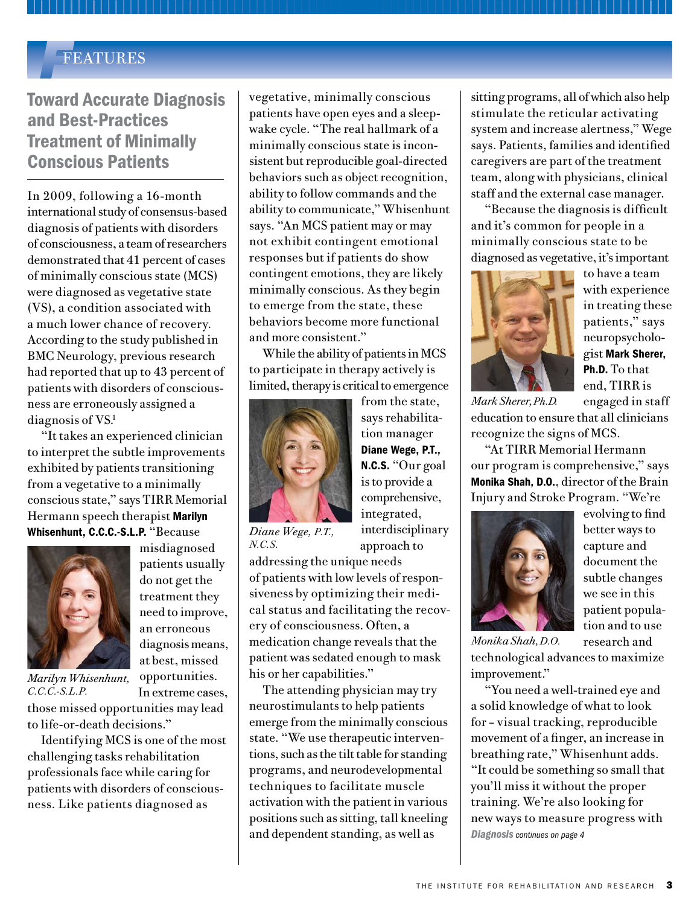### *F*FEATURES

# Toward Accurate Diagnosis and Best-Practices Treatment of Minimally Conscious Patients

In 2009, following a 16-month international study of consensus-based diagnosis of patients with disorders of consciousness, a team of researchers demonstrated that 41 percent of cases of minimally conscious state (MCS) were diagnosed as vegetative state (VS), a condition associated with a much lower chance of recovery. According to the study published in BMC Neurology, previous research had reported that up to 43 percent of patients with disorders of consciousness are erroneously assigned a diagnosis of VS.<sup>1</sup>

"It takes an experienced clinician to interpret the subtle improvements exhibited by patients transitioning from a vegetative to a minimally conscious state," says TIRR Memorial Hermann speech therapist Marilyn Whisenhunt, C.C.C.-S.L.P. "Because



misdiagnosed patients usually do not get the treatment they need to improve, an erroneous diagnosis means, at best, missed opportunities. In extreme cases,

*Marilyn Whisenhunt, C.C.C.-S.L.P.*

those missed opportunities may lead to life-or-death decisions."

Identifying MCS is one of the most challenging tasks rehabilitation professionals face while caring for patients with disorders of consciousness. Like patients diagnosed as

vegetative, minimally conscious patients have open eyes and a sleepwake cycle. "The real hallmark of a minimally conscious state is inconsistent but reproducible goal-directed behaviors such as object recognition, ability to follow commands and the ability to communicate," Whisenhunt says. "An MCS patient may or may not exhibit contingent emotional responses but if patients do show contingent emotions, they are likely minimally conscious. As they begin to emerge from the state, these behaviors become more functional and more consistent."

While the ability of patients in MCS to participate in therapy actively is limited, therapy is critical to emergence



from the state, says rehabilitation manager Diane Wege, P.T., N.C.S. "Our goal is to provide a comprehensive, integrated, interdisciplinary approach to

*Diane Wege, P.T., N.C.S.* 

addressing the unique needs of patients with low levels of responsiveness by optimizing their medical status and facilitating the recovery of consciousness. Often, a medication change reveals that the patient was sedated enough to mask his or her capabilities."

The attending physician may try neurostimulants to help patients emerge from the minimally conscious state. "We use therapeutic interventions, such as the tilt table for standing programs, and neurodevelopmental techniques to facilitate muscle activation with the patient in various positions such as sitting, tall kneeling and dependent standing, as well as

sitting programs, all of which also help stimulate the reticular activating system and increase alertness," Wege says. Patients, families and identified caregivers are part of the treatment team, along with physicians, clinical staff and the external case manager.

"Because the diagnosis is difficult and it's common for people in a minimally conscious state to be diagnosed as vegetative, it's important



to have a team with experience in treating these patients," says neuropsychologist Mark Sherer, Ph.D. To that end, TIRR is

engaged in staff education to ensure that all clinicians recognize the signs of MCS. *Mark Sherer, Ph.D.* 

"At TIRR Memorial Hermann our program is comprehensive," says Monika Shah, D.O., director of the Brain Injury and Stroke Program. "We're



evolving to find better ways to capture and document the subtle changes we see in this patient population and to use

research and technological advances to maximize improvement." *Monika Shah, D.O.* 

"You need a well-trained eye and a solid knowledge of what to look for – visual tracking, reproducible movement of a finger, an increase in breathing rate," Whisenhunt adds. "It could be something so small that you'll miss it without the proper training. We're also looking for new ways to measure progress with *Diagnosis continues on page 4*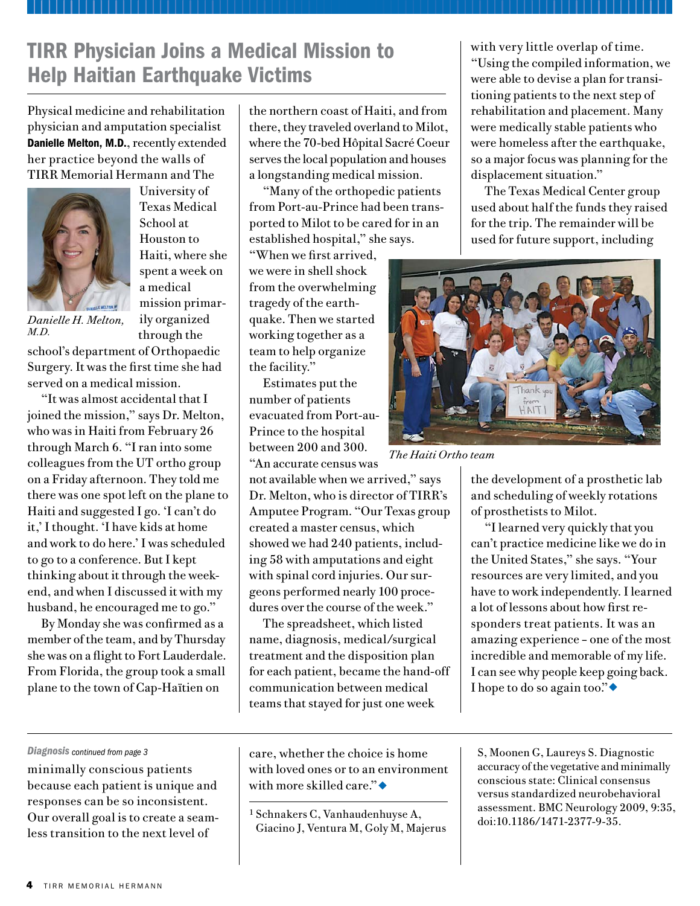# TIRR Physician Joins a Medical Mission to Help Haitian Earthquake Victims

Physical medicine and rehabilitation physician and amputation specialist Danielle Melton, M.D., recently extended her practice beyond the walls of TIRR Memorial Hermann and The



University of Texas Medical School at Houston to Haiti, where she spent a week on a medical mission primarily organized through the

*Danielle H. Melton, M.D.*

school's department of Orthopaedic Surgery. It was the first time she had served on a medical mission.

"It was almost accidental that I joined the mission," says Dr. Melton, who was in Haiti from February 26 through March 6. "I ran into some colleagues from the UT ortho group on a Friday afternoon. They told me there was one spot left on the plane to Haiti and suggested I go. 'I can't do it,' I thought. 'I have kids at home and work to do here.' I was scheduled to go to a conference. But I kept thinking about it through the weekend, and when I discussed it with my husband, he encouraged me to go."

By Monday she was confirmed as a member of the team, and by Thursday she was on a flight to Fort Lauderdale. From Florida, the group took a small plane to the town of Cap-Haïtien on

the northern coast of Haiti, and from there, they traveled overland to Milot, where the 70-bed Hôpital Sacré Coeur serves the local population and houses a longstanding medical mission.

"Many of the orthopedic patients from Port-au-Prince had been transported to Milot to be cared for in an established hospital," she says.

"When we first arrived, we were in shell shock from the overwhelming tragedy of the earthquake. Then we started working together as a team to help organize the facility."

Estimates put the number of patients evacuated from Port-au-Prince to the hospital between 200 and 300. "An accurate census was

not available when we arrived," says Dr. Melton, who is director of TIRR's Amputee Program. "Our Texas group created a master census, which showed we had 240 patients, including 58 with amputations and eight with spinal cord injuries. Our surgeons performed nearly 100 procedures over the course of the week."

The spreadsheet, which listed name, diagnosis, medical/surgical treatment and the disposition plan for each patient, became the hand-off communication between medical teams that stayed for just one week

with very little overlap of time. "Using the compiled information, we were able to devise a plan for transitioning patients to the next step of rehabilitation and placement. Many were medically stable patients who were homeless after the earthquake, so a major focus was planning for the displacement situation."

The Texas Medical Center group used about half the funds they raised for the trip. The remainder will be used for future support, including



*The Haiti Ortho team*

the development of a prosthetic lab and scheduling of weekly rotations of prosthetists to Milot.

"I learned very quickly that you can't practice medicine like we do in the United States," she says. "Your resources are very limited, and you have to work independently. I learned a lot of lessons about how first responders treat patients. It was an amazing experience – one of the most incredible and memorable of my life. I can see why people keep going back. I hope to do so again too." $\bullet$ 

#### *Diagnosis continued from page 3*

minimally conscious patients because each patient is unique and responses can be so inconsistent. Our overall goal is to create a seamless transition to the next level of

care, whether the choice is home with loved ones or to an environment with more skilled care." $\bullet$ 

<sup>1</sup> Schnakers C, Vanhaudenhuyse A, Giacino J, Ventura M, Goly M, Majerus S, Moonen G, Laureys S. Diagnostic accuracy of the vegetative and minimally conscious state: Clinical consensus versus standardized neurobehavioral assessment. BMC Neurology 2009, 9:35, doi:10.1186/1471-2377-9-35.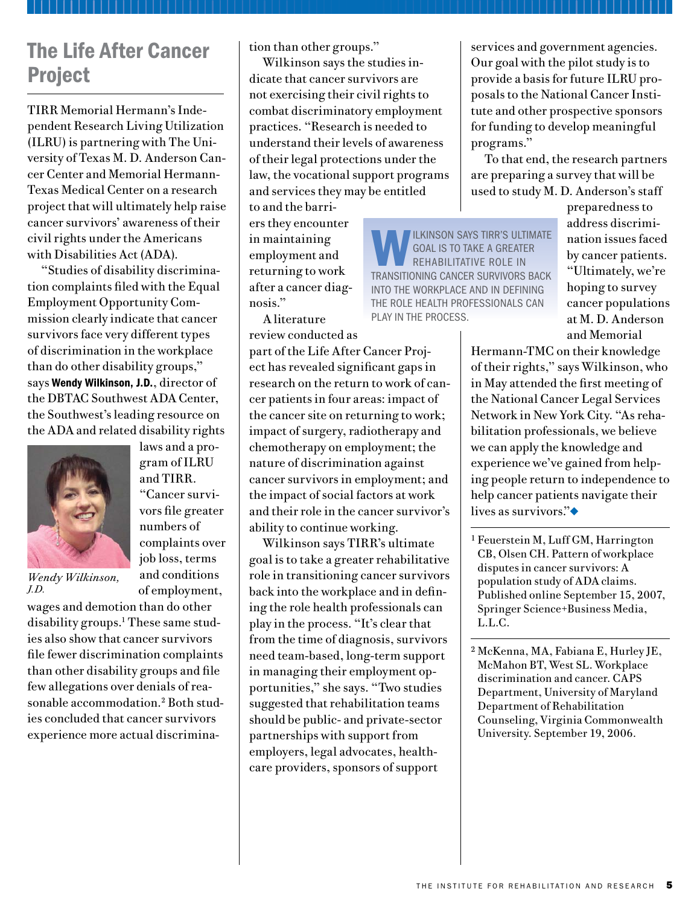# The Life After Cancer Project

TIRR Memorial Hermann's Independent Research Living Utilization (ILRU) is partnering with The University of Texas M. D. Anderson Cancer Center and Memorial Hermann-Texas Medical Center on a research project that will ultimately help raise cancer survivors' awareness of their civil rights under the Americans with Disabilities Act (ADA).

"Studies of disability discrimination complaints filed with the Equal Employment Opportunity Commission clearly indicate that cancer survivors face very different types of discrimination in the workplace than do other disability groups," says Wendy Wilkinson, J.D., director of the DBTAC Southwest ADA Center, the Southwest's leading resource on the ADA and related disability rights



laws and a program of ILRU and TIRR. "Cancer survivors file greater numbers of complaints over job loss, terms and conditions of employment,

*Wendy Wilkinson, J.D.*

wages and demotion than do other disability groups.1 These same studies also show that cancer survivors file fewer discrimination complaints than other disability groups and file few allegations over denials of reasonable accommodation.<sup>2</sup> Both studies concluded that cancer survivors experience more actual discrimination than other groups."

Wilkinson says the studies indicate that cancer survivors are not exercising their civil rights to combat discriminatory employment practices. "Research is needed to understand their levels of awareness of their legal protections under the law, the vocational support programs and services they may be entitled

to and the barriers they encounter in maintaining employment and returning to work after a cancer diagnosis."

A literature review conducted as

part of the Life After Cancer Project has revealed significant gaps in research on the return to work of cancer patients in four areas: impact of the cancer site on returning to work; impact of surgery, radiotherapy and chemotherapy on employment; the nature of discrimination against cancer survivors in employment; and the impact of social factors at work and their role in the cancer survivor's ability to continue working.

Wilkinson says TIRR's ultimate goal is to take a greater rehabilitative role in transitioning cancer survivors back into the workplace and in defining the role health professionals can play in the process. "It's clear that from the time of diagnosis, survivors need team-based, long-term support in managing their employment opportunities," she says. "Two studies suggested that rehabilitation teams should be public- and private-sector partnerships with support from employers, legal advocates, healthcare providers, sponsors of support

services and government agencies. Our goal with the pilot study is to provide a basis for future ILRU proposals to the National Cancer Institute and other prospective sponsors for funding to develop meaningful programs."

To that end, the research partners are preparing a survey that will be used to study M. D. Anderson's staff

WILKINSON SAYS TIRR'S ULTIMATE A GREAT goal is to take a greater transitioning cancer survivors back into the workplace and in defining the role health professionals can play in the process.

preparedness to address discrimination issues faced by cancer patients. "Ultimately, we're hoping to survey cancer populations at M. D. Anderson and Memorial

Hermann-TMC on their knowledge of their rights," says Wilkinson, who in May attended the first meeting of the National Cancer Legal Services Network in New York City. "As rehabilitation professionals, we believe we can apply the knowledge and experience we've gained from helping people return to independence to help cancer patients navigate their lives as survivors." $\bullet$ 

<sup>1</sup> Feuerstein M, Luff GM, Harrington CB, Olsen CH. Pattern of workplace disputes in cancer survivors: A population study of ADA claims. Published online September 15, 2007, Springer Science+Business Media, L.L.C.

<sup>2</sup> McKenna, MA, Fabiana E, Hurley JE, McMahon BT, West SL. Workplace discrimination and cancer. CAPS Department, University of Maryland Department of Rehabilitation Counseling, Virginia Commonwealth University. September 19, 2006.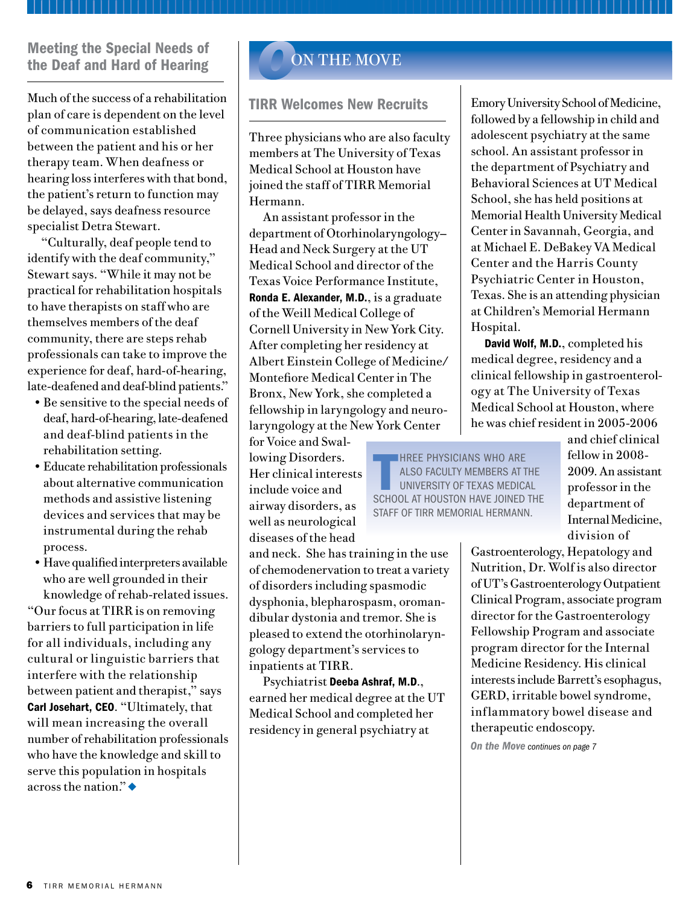#### Meeting the Special Needs of the Deaf and Hard of Hearing

Much of the success of a rehabilitation plan of care is dependent on the level of communication established between the patient and his or her therapy team. When deafness or hearing loss interferes with that bond, the patient's return to function may be delayed, says deafness resource specialist Detra Stewart.

"Culturally, deaf people tend to identify with the deaf community," Stewart says. "While it may not be practical for rehabilitation hospitals to have therapists on staff who are themselves members of the deaf community, there are steps rehab professionals can take to improve the experience for deaf, hard-of-hearing, late-deafened and deaf-blind patients."

- Be sensitive to the special needs of deaf, hard-of-hearing, late-deafened and deaf-blind patients in the rehabilitation setting.
- Educate rehabilitation professionals about alternative communication methods and assistive listening devices and services that may be instrumental during the rehab process.
- Have qualified interpreters available who are well grounded in their knowledge of rehab-related issues.

"Our focus at TIRR is on removing barriers to full participation in life for all individuals, including any cultural or linguistic barriers that interfere with the relationship between patient and therapist," says Carl Josehart, CEO. "Ultimately, that will mean increasing the overall number of rehabilitation professionals who have the knowledge and skill to serve this population in hospitals across the nation." $\triangleleft$ 

# **ON THE MOVE**

#### TIRR Welcomes New Recruits

Three physicians who are also faculty members at The University of Texas Medical School at Houston have joined the staff of TIRR Memorial Hermann.

An assistant professor in the department of Otorhinolaryngology— Head and Neck Surgery at the UT Medical School and director of the Texas Voice Performance Institute, Ronda E. Alexander, M.D., is a graduate of the Weill Medical College of Cornell University in New York City. After completing her residency at Albert Einstein College of Medicine/ Montefiore Medical Center in The Bronx, New York, she completed a fellowship in laryngology and neurolaryngology at the New York Center

for Voice and Swallowing Disorders. Her clinical interests include voice and airway disorders, as well as neurological diseases of the head

and neck. She has training in the use of chemodenervation to treat a variety of disorders including spasmodic dysphonia, blepharospasm, oromandibular dystonia and tremor. She is pleased to extend the otorhinolaryngology department's services to inpatients at TIRR.

Psychiatrist Deeba Ashraf, M.D., earned her medical degree at the UT Medical School and completed her residency in general psychiatry at

Emory University School of Medicine, followed by a fellowship in child and adolescent psychiatry at the same school. An assistant professor in the department of Psychiatry and Behavioral Sciences at UT Medical School, she has held positions at Memorial Health University Medical Center in Savannah, Georgia, and at Michael E. DeBakey VA Medical Center and the Harris County Psychiatric Center in Houston, Texas. She is an attending physician at Children's Memorial Hermann Hospital.

David Wolf, M.D., completed his medical degree, residency and a clinical fellowship in gastroenterology at The University of Texas Medical School at Houston, where he was chief resident in 2005-2006

HREE PHYSICIANS WHO ARE<br>ALSO FACULTY MEMBERS AT TH<br>UNIVERSITY OF TEXAS MEDICAL<br>SCHOOL AT HOUSTON HAVE JOINED T **HREE PHYSICIANS WHO ARE** also faculty members at The University of Texas Medical staff of TIRR Memorial Hermann.

and chief clinical fellow in 2008- 2009. An assistant professor in the department of Internal Medicine, division of

Gastroenterology, Hepatology and Nutrition, Dr. Wolf is also director of UT's Gastroenterology Outpatient Clinical Program, associate program director for the Gastroenterology Fellowship Program and associate program director for the Internal Medicine Residency. His clinical interests include Barrett's esophagus, GERD, irritable bowel syndrome, inflammatory bowel disease and therapeutic endoscopy.

*On the Move continues on page 7*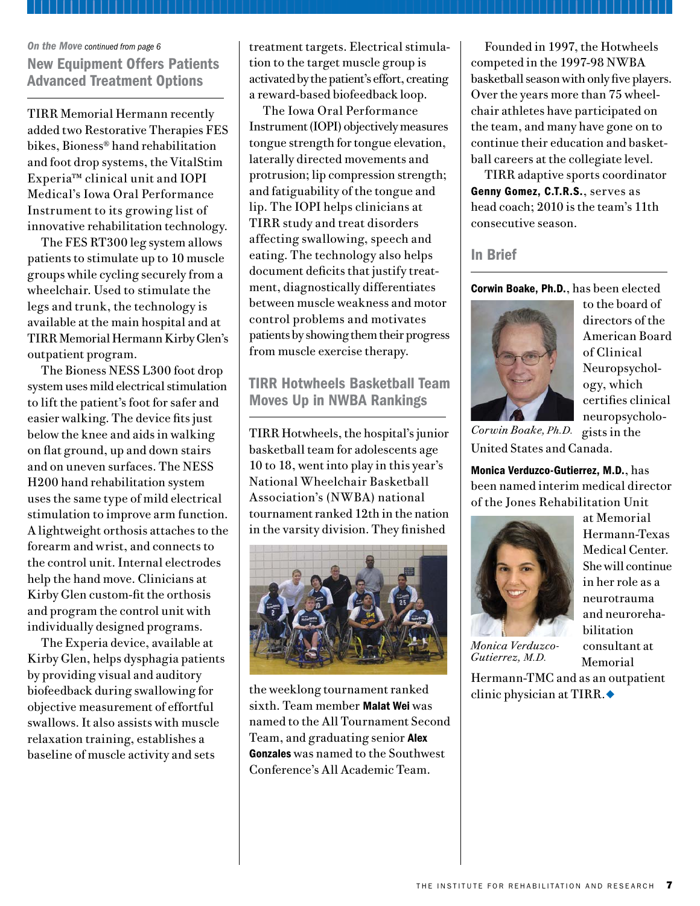#### *On the Move continued from page 6*

New Equipment Offers Patients Advanced Treatment Options

TIRR Memorial Hermann recently added two Restorative Therapies FES bikes, Bioness® hand rehabilitation and foot drop systems, the VitalStim Experia™ clinical unit and IOPI Medical's Iowa Oral Performance Instrument to its growing list of innovative rehabilitation technology.

The FES RT300 leg system allows patients to stimulate up to 10 muscle groups while cycling securely from a wheelchair. Used to stimulate the legs and trunk, the technology is available at the main hospital and at TIRR Memorial Hermann Kirby Glen's outpatient program.

The Bioness NESS L300 foot drop system uses mild electrical stimulation to lift the patient's foot for safer and easier walking. The device fits just below the knee and aids in walking on flat ground, up and down stairs and on uneven surfaces. The NESS H200 hand rehabilitation system uses the same type of mild electrical stimulation to improve arm function. A lightweight orthosis attaches to the forearm and wrist, and connects to the control unit. Internal electrodes help the hand move. Clinicians at Kirby Glen custom-fit the orthosis and program the control unit with individually designed programs.

The Experia device, available at Kirby Glen, helps dysphagia patients by providing visual and auditory biofeedback during swallowing for objective measurement of effortful swallows. It also assists with muscle relaxation training, establishes a baseline of muscle activity and sets

treatment targets. Electrical stimulation to the target muscle group is activated by the patient's effort, creating a reward-based biofeedback loop.

The Iowa Oral Performance Instrument (IOPI) objectively measures tongue strength for tongue elevation, laterally directed movements and protrusion; lip compression strength; and fatiguability of the tongue and lip. The IOPI helps clinicians at TIRR study and treat disorders affecting swallowing, speech and eating. The technology also helps document deficits that justify treatment, diagnostically differentiates between muscle weakness and motor control problems and motivates patients by showing them their progress from muscle exercise therapy.

TIRR Hotwheels Basketball Team Moves Up in NWBA Rankings

TIRR Hotwheels, the hospital's junior basketball team for adolescents age 10 to 18, went into play in this year's National Wheelchair Basketball Association's (NWBA) national tournament ranked 12th in the nation in the varsity division. They finished



the weeklong tournament ranked sixth. Team member Malat Wei was named to the All Tournament Second Team, and graduating senior Alex Gonzales was named to the Southwest Conference's All Academic Team.

Founded in 1997, the Hotwheels competed in the 1997-98 NWBA basketball season with only five players. Over the years more than 75 wheelchair athletes have participated on the team, and many have gone on to continue their education and basketball careers at the collegiate level.

TIRR adaptive sports coordinator Genny Gomez, C.T.R.S., serves as head coach; 2010 is the team's 11th consecutive season.

#### In Brief

Corwin Boake, Ph.D., has been elected



to the board of directors of the American Board of Clinical Neuropsychology, which certifies clinical neuropsychologists in the

at Memorial Hermann-Texas Medical Center. She will continue in her role as a neurotrauma and neurorehabilitation consultant at Memorial

United States and Canada. *Corwin Boake,Ph.D.*

Monica Verduzco-Gutierrez, M.D., has been named interim medical director of the Jones Rehabilitation Unit



*Monica Verduzco-Gutierrez, M.D.*

Hermann-TMC and as an outpatient clinic physician at TIRR. $\bullet$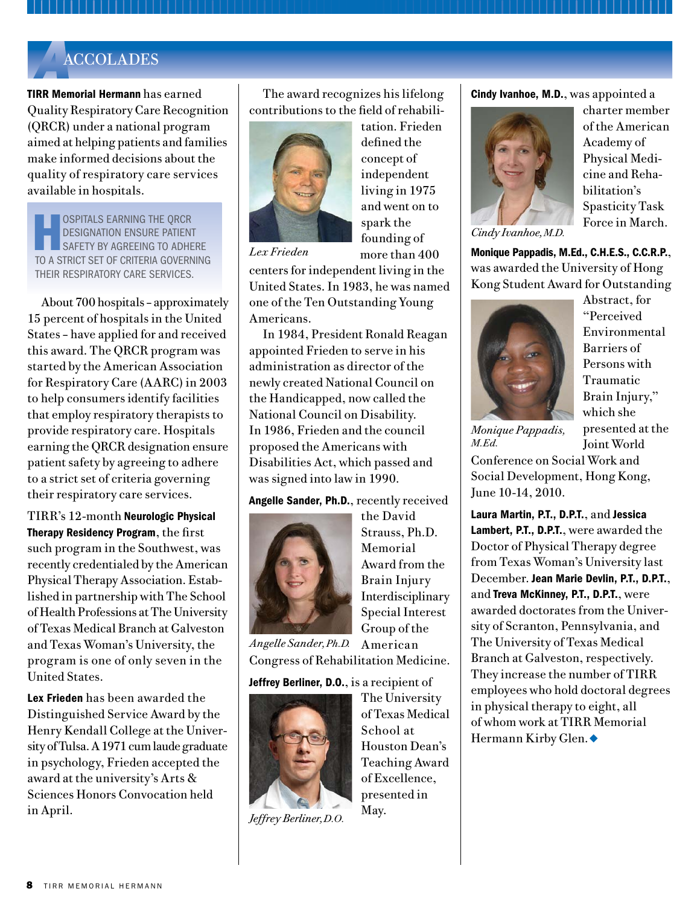# *On the Move continued from page 7 A*ACCOLADES

TIRR Memorial Hermann has earned Quality Respiratory Care Recognition (QRCR) under a national program aimed at helping patients and families make informed decisions about the quality of respiratory care services available in hospitals.

OSPITALS EARNING THE QRCR designation ensure patient safety by agreeing to adhere to a strict set of criteria governing their respiratory care services.

About 700 hospitals – approximately 15 percent of hospitals in the United States – have applied for and received this award. The QRCR program was started by the American Association for Respiratory Care (AARC) in 2003 to help consumers identify facilities that employ respiratory therapists to provide respiratory care. Hospitals earning the QRCR designation ensure patient safety by agreeing to adhere to a strict set of criteria governing their respiratory care services.

TIRR's 12-month Neurologic Physical Therapy Residency Program, the first such program in the Southwest, was recently credentialed by the American Physical Therapy Association. Established in partnership with The School of Health Professions at The University of Texas Medical Branch at Galveston and Texas Woman's University, the program is one of only seven in the United States.

Lex Frieden has been awarded the Distinguished Service Award by the Henry Kendall College at the University of Tulsa. A 1971 cum laude graduate in psychology, Frieden accepted the award at the university's Arts & Sciences Honors Convocation held in April.

The award recognizes his lifelong contributions to the field of rehabili-



tation. Frieden defined the concept of independent living in 1975 and went on to spark the founding of more than 400

*Lex Frieden*

centers for independent living in the United States. In 1983, he was named one of the Ten Outstanding Young Americans.

In 1984, President Ronald Reagan appointed Frieden to serve in his administration as director of the newly created National Council on the Handicapped, now called the National Council on Disability. In 1986, Frieden and the council proposed the Americans with Disabilities Act, which passed and was signed into law in 1990.

Angelle Sander, Ph.D., recently received



the David Strauss, Ph.D. Memorial Award from the Brain Injury Interdisciplinary Special Interest Group of the

The University of Texas Medical

Houston Dean's Teaching Award of Excellence, presented in

School at

May.

American *Angelle Sander, Ph.D.* Congress of Rehabilitation Medicine.

Jeffrey Berliner, D.O., is a recipient of



*Jeffrey Berliner, D.O.*

Cindy Ivanhoe, M.D., was appointed a



charter member of the American Academy of Physical Medicine and Rehabilitation's Spasticity Task Force in March.

*Cindy Ivanhoe, M.D.*

Monique Pappadis, M.Ed., C.H.E.S., C.C.R.P., was awarded the University of Hong Kong Student Award for Outstanding



Abstract, for "Perceived Environmental Barriers of Persons with Traumatic Brain Injury," which she presented at the Joint World

*Monique Pappadis, M.Ed.*

Conference on Social Work and Social Development, Hong Kong, June 10-14, 2010.

Laura Martin, P.T., D.P.T., and Jessica Lambert, P.T., D.P.T., were awarded the Doctor of Physical Therapy degree from Texas Woman's University last December. Jean Marie Devlin, P.T., D.P.T., and Treva McKinney, P.T., D.P.T., were awarded doctorates from the University of Scranton, Pennsylvania, and The University of Texas Medical Branch at Galveston, respectively. They increase the number of TIRR employees who hold doctoral degrees in physical therapy to eight, all of whom work at TIRR Memorial Hermann Kirby Glen. ♦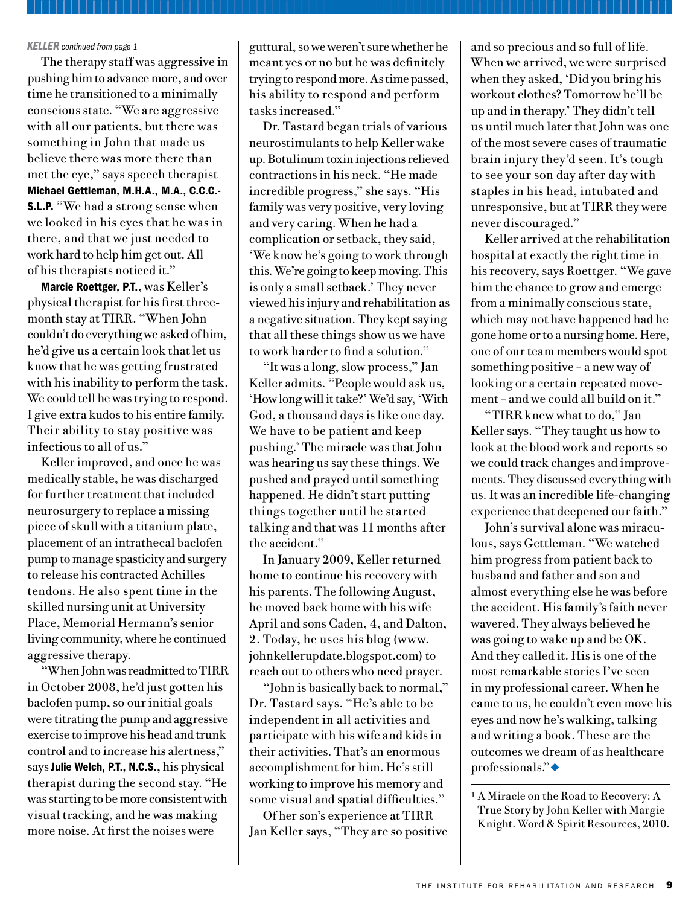#### *KELLER continued from page 1*

The therapy staff was aggressive in pushing him to advance more, and over time he transitioned to a minimally conscious state. "We are aggressive with all our patients, but there was something in John that made us believe there was more there than met the eye," says speech therapist Michael Gettleman, M.H.A., M.A., C.C.C.- S.L.P. "We had a strong sense when we looked in his eyes that he was in there, and that we just needed to work hard to help him get out. All of his therapists noticed it."

Marcie Roettger, P.T., was Keller's physical therapist for his first threemonth stay at TIRR. "When John couldn't do everything we asked of him, he'd give us a certain look that let us know that he was getting frustrated with his inability to perform the task. We could tell he was trying to respond. I give extra kudos to his entire family. Their ability to stay positive was infectious to all of us."

Keller improved, and once he was medically stable, he was discharged for further treatment that included neurosurgery to replace a missing piece of skull with a titanium plate, placement of an intrathecal baclofen pump to manage spasticity and surgery to release his contracted Achilles tendons. He also spent time in the skilled nursing unit at University Place, Memorial Hermann's senior living community, where he continued aggressive therapy.

"When John was readmitted to TIRR in October 2008, he'd just gotten his baclofen pump, so our initial goals were titrating the pump and aggressive exercise to improve his head and trunk control and to increase his alertness," says Julie Welch, P.T., N.C.S., his physical therapist during the second stay. "He was starting to be more consistent with visual tracking, and he was making more noise. At first the noises were

guttural, so we weren't sure whether he meant yes or no but he was definitely trying to respond more. As time passed, his ability to respond and perform tasks increased."

Dr. Tastard began trials of various neurostimulants to help Keller wake up. Botulinum toxin injections relieved contractions in his neck. "He made incredible progress," she says. "His family was very positive, very loving and very caring. When he had a complication or setback, they said, 'We know he's going to work through this. We're going to keep moving. This is only a small setback.' They never viewed his injury and rehabilitation as a negative situation. They kept saying that all these things show us we have to work harder to find a solution."

"It was a long, slow process," Jan Keller admits. "People would ask us, 'How long will it take?' We'd say, 'With God, a thousand days is like one day. We have to be patient and keep pushing.' The miracle was that John was hearing us say these things. We pushed and prayed until something happened. He didn't start putting things together until he started talking and that was 11 months after the accident."

In January 2009, Keller returned home to continue his recovery with his parents. The following August, he moved back home with his wife April and sons Caden, 4, and Dalton, 2. Today, he uses his blog (www. johnkellerupdate.blogspot.com) to reach out to others who need prayer.

"John is basically back to normal," Dr. Tastard says. "He's able to be independent in all activities and participate with his wife and kids in their activities. That's an enormous accomplishment for him. He's still working to improve his memory and some visual and spatial difficulties."

Of her son's experience at TIRR Jan Keller says, "They are so positive and so precious and so full of life. When we arrived, we were surprised when they asked, 'Did you bring his workout clothes? Tomorrow he'll be up and in therapy.' They didn't tell us until much later that John was one of the most severe cases of traumatic brain injury they'd seen. It's tough to see your son day after day with staples in his head, intubated and unresponsive, but at TIRR they were never discouraged."

Keller arrived at the rehabilitation hospital at exactly the right time in his recovery, says Roettger. "We gave him the chance to grow and emerge from a minimally conscious state, which may not have happened had he gone home or to a nursing home. Here, one of our team members would spot something positive – a new way of looking or a certain repeated movement – and we could all build on it."

"TIRR knew what to do," Jan Keller says. "They taught us how to look at the blood work and reports so we could track changes and improvements. They discussed everything with us. It was an incredible life-changing experience that deepened our faith."

John's survival alone was miraculous, says Gettleman. "We watched him progress from patient back to husband and father and son and almost everything else he was before the accident. His family's faith never wavered. They always believed he was going to wake up and be OK. And they called it. His is one of the most remarkable stories I've seen in my professional career. When he came to us, he couldn't even move his eyes and now he's walking, talking and writing a book. These are the outcomes we dream of as healthcare  $professionals."$ 

<sup>1</sup> A Miracle on the Road to Recovery: A True Story by John Keller with Margie Knight. Word & Spirit Resources, 2010.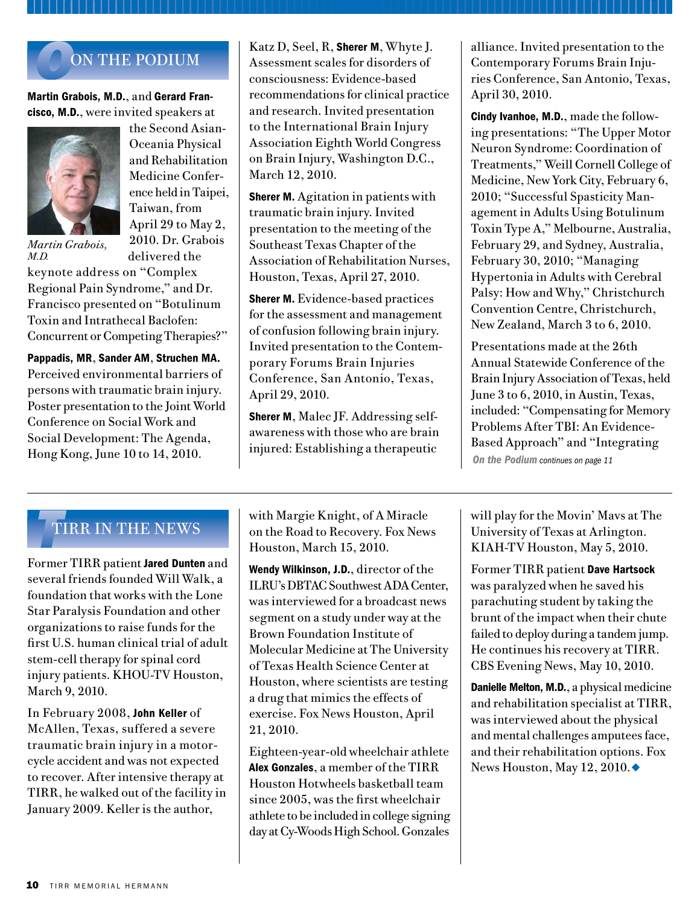# **ON THE PODIUM**

#### Martin Grabois, M.D., and Gerard Francisco, M.D., were invited speakers at



the Second Asian-Oceania Physical and Rehabilitation Medicine Conference held in Taipei, Taiwan, from April 29 to May 2, 2010. Dr. Grabois delivered the

*Martin Grabois, M.D.* 

keynote address on "Complex Regional Pain Syndrome," and Dr. Francisco presented on "Botulinum Toxin and Intrathecal Baclofen: Concurrent or Competing Therapies?"

Pappadis, MR, Sander AM, Struchen MA. Perceived environmental barriers of persons with traumatic brain injury. Poster presentation to the Joint World Conference on Social Work and Social Development: The Agenda, Hong Kong, June 10 to 14, 2010.

Katz D, Seel, R, **Sherer M**, Whyte J. Assessment scales for disorders of consciousness: Evidence-based recommendations for clinical practice and research. Invited presentation to the International Brain Injury Association Eighth World Congress on Brain Injury, Washington D.C., March 12, 2010.

**Sherer M.** Agitation in patients with traumatic brain injury. Invited presentation to the meeting of the Southeast Texas Chapter of the Association of Rehabilitation Nurses, Houston, Texas, April 27, 2010.

**Sherer M.** Evidence-based practices for the assessment and management of confusion following brain injury. Invited presentation to the Contemporary Forums Brain Injuries Conference, San Antonio, Texas, April 29, 2010.

Sherer M, Malec JF. Addressing selfawareness with those who are brain injured: Establishing a therapeutic

alliance. Invited presentation to the Contemporary Forums Brain Injuries Conference, San Antonio, Texas, April 30, 2010.

Cindy Ivanhoe, M.D., made the following presentations: "The Upper Motor Neuron Syndrome: Coordination of Treatments," Weill Cornell College of Medicine, New York City, February 6, 2010; "Successful Spasticity Management in Adults Using Botulinum Toxin Type A," Melbourne, Australia, February 29, and Sydney, Australia, February 30, 2010; "Managing Hypertonia in Adults with Cerebral Palsy: How and Why," Christchurch Convention Centre, Christchurch, New Zealand, March 3 to 6, 2010.

Presentations made at the 26th Annual Statewide Conference of the Brain Injury Association of Texas, held June 3 to 6, 2010, in Austin, Texas, included: "Compensating for Memory Problems After TBI: An Evidence-Based Approach" and "Integrating *On the Podium continues on page 11*

## *T*TIRR IN THE NEWS

Former TIRR patient Jared Dunten and several friends founded Will Walk, a foundation that works with the Lone Star Paralysis Foundation and other organizations to raise funds for the first U.S. human clinical trial of adult stem-cell therapy for spinal cord injury patients. KHOU-TV Houston, March 9, 2010.

In February 2008, John Keller of McAllen, Texas, suffered a severe traumatic brain injury in a motorcycle accident and was not expected to recover. After intensive therapy at TIRR, he walked out of the facility in January 2009. Keller is the author,

with Margie Knight, of A Miracle on the Road to Recovery. Fox News Houston, March 15, 2010.

Wendy Wilkinson, J.D., director of the ILRU's DBTAC Southwest ADA Center, was interviewed for a broadcast news segment on a study under way at the Brown Foundation Institute of Molecular Medicine at The University of Texas Health Science Center at Houston, where scientists are testing a drug that mimics the effects of exercise. Fox News Houston, April 21, 2010.

Eighteen-year-old wheelchair athlete Alex Gonzales, a member of the TIRR Houston Hotwheels basketball team since 2005, was the first wheelchair athlete to be included in college signing day at Cy-Woods High School. Gonzales

will play for the Movin' Mavs at The University of Texas at Arlington. KIAH-TV Houston, May 5, 2010.

Former TIRR patient Dave Hartsock was paralyzed when he saved his parachuting student by taking the brunt of the impact when their chute failed to deploy during a tandem jump. He continues his recovery at TIRR. CBS Evening News, May 10, 2010.

Danielle Melton, M.D., a physical medicine and rehabilitation specialist at TIRR, was interviewed about the physical and mental challenges amputees face, and their rehabilitation options. Fox News Houston, May 12, 2010. $\blacklozenge$